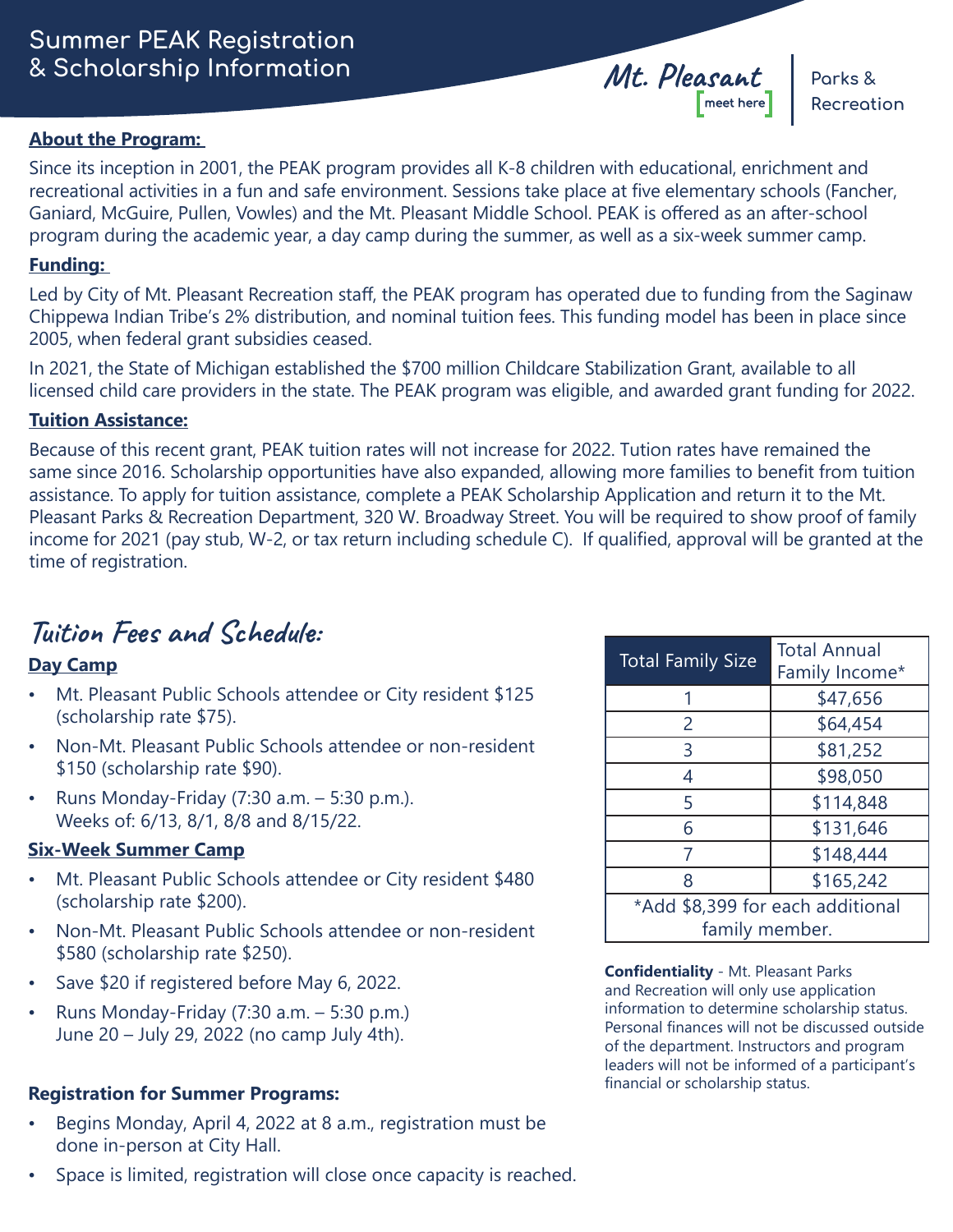# **Summer PEAK Registration**  *&* **Scholarship Information** *Mt. Pleasant* **Parks &**

#### **About the Program:**

Since its inception in 2001, the PEAK program provides all K-8 children with educational, enrichment and recreational activities in a fun and safe environment. Sessions take place at five elementary schools (Fancher, Ganiard, McGuire, Pullen, Vowles) and the Mt. Pleasant Middle School. PEAK is offered as an after-school program during the academic year, a day camp during the summer, as well as a six-week summer camp.

### **Funding:**

Led by City of Mt. Pleasant Recreation staff, the PEAK program has operated due to funding from the Saginaw Chippewa Indian Tribe's 2% distribution, and nominal tuition fees. This funding model has been in place since 2005, when federal grant subsidies ceased.

In 2021, the State of Michigan established the \$700 million Childcare Stabilization Grant, available to all licensed child care providers in the state. The PEAK program was eligible, and awarded grant funding for 2022.

### **Tuition Assistance:**

Because of this recent grant, PEAK tuition rates will not increase for 2022. Tution rates have remained the same since 2016. Scholarship opportunities have also expanded, allowing more families to benefit from tuition assistance. To apply for tuition assistance, complete a PEAK Scholarship Application and return it to the Mt. Pleasant Parks & Recreation Department, 320 W. Broadway Street. You will be required to show proof of family income for 2021 (pay stub, W-2, or tax return including schedule C). If qualified, approval will be granted at the time of registration.

# **Tuition Fees and Schedule:**

## **Day Camp**

- Mt. Pleasant Public Schools attendee or City resident \$125 (scholarship rate \$75).
- Non-Mt. Pleasant Public Schools attendee or non-resident \$150 (scholarship rate \$90).
- Runs Monday-Friday  $(7:30 \text{ a.m.} 5:30 \text{ p.m.})$ . Weeks of: 6/13, 8/1, 8/8 and 8/15/22.

### **Six-Week Summer Camp**

- Mt. Pleasant Public Schools attendee or City resident \$480 (scholarship rate \$200).
- Non-Mt. Pleasant Public Schools attendee or non-resident \$580 (scholarship rate \$250).
- Save \$20 if registered before May 6, 2022.
- Runs Monday-Friday  $(7:30$  a.m.  $-5:30$  p.m.) June 20 – July 29, 2022 (no camp July 4th).

## **Registration for Summer Programs:**

- Begins Monday, April 4, 2022 at 8 a.m., registration must be done in-person at City Hall.
- Space is limited, registration will close once capacity is reached.

| <b>Total Family Size</b>                           | <b>Total Annual</b><br>Family Income* |  |  |  |  |
|----------------------------------------------------|---------------------------------------|--|--|--|--|
|                                                    | \$47,656                              |  |  |  |  |
| 2                                                  | \$64,454                              |  |  |  |  |
| 3                                                  | \$81,252                              |  |  |  |  |
| 4                                                  | \$98,050                              |  |  |  |  |
| 5                                                  | \$114,848                             |  |  |  |  |
| 6                                                  | \$131,646                             |  |  |  |  |
| 7                                                  | \$148,444                             |  |  |  |  |
| 8                                                  | \$165,242                             |  |  |  |  |
| *Add \$8,399 for each additional<br>family member. |                                       |  |  |  |  |

**Confidentiality** - Mt. Pleasant Parks and Recreation will only use application information to determine scholarship status. Personal finances will not be discussed outside of the department. Instructors and program leaders will not be informed of a participant's financial or scholarship status.